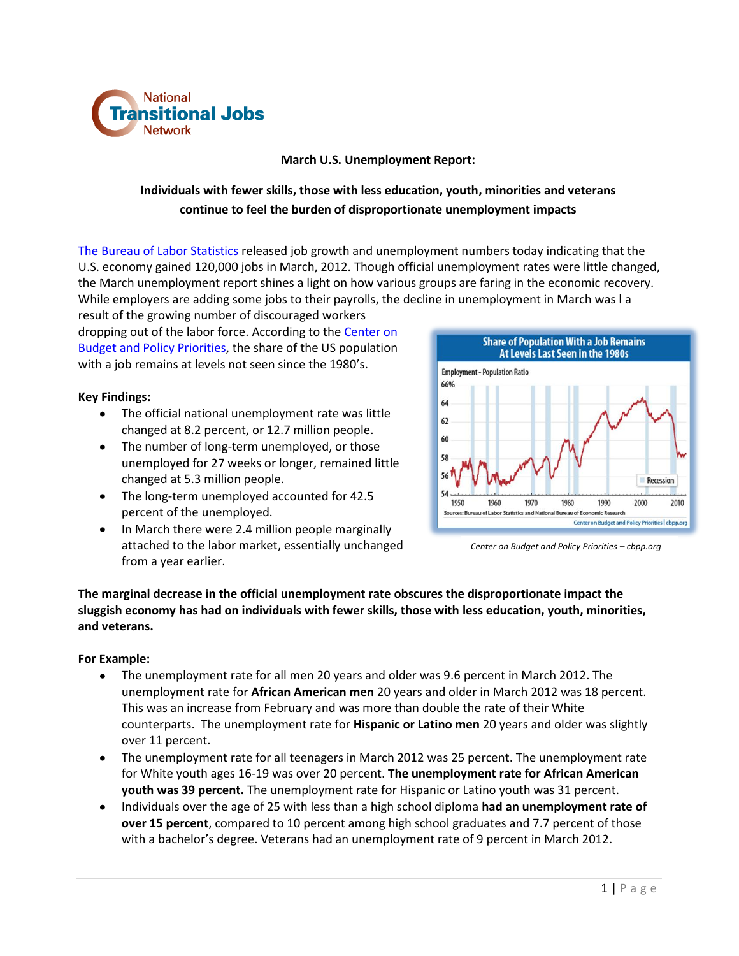

## **March U.S. Unemployment Report:**

# **Individuals with fewer skills, those with less education, youth, minorities and veterans continue to feel the burden of disproportionate unemployment impacts**

[The Bureau of Labor Statistics](http://www.bls.gov/news.release/empsit.nr0.htm) released job growth and unemployment numbers today indicating that the U.S. economy gained 120,000 jobs in March, 2012. Though official unemployment rates were little changed, the March unemployment report shines a light on how various groups are faring in the economic recovery. While employers are adding some jobs to their payrolls, the decline in unemployment in March was l a

result of the growing number of discouraged workers dropping out of the labor force. According to the [Center on](http://www.cbpp.org/cms/index.cfm?fa=view&id=3742&emailView=1)  [Budget and Policy Priorities,](http://www.cbpp.org/cms/index.cfm?fa=view&id=3742&emailView=1) the share of the US population with a job remains at levels not seen since the 1980's.

# **Key Findings:**

- The official national unemployment rate was little changed at 8.2 percent, or 12.7 million people.
- The number of long-term unemployed, or those unemployed for 27 weeks or longer, remained little changed at 5.3 million people.
- The long-term unemployed accounted for 42.5 percent of the unemployed.
- In March there were 2.4 million people marginally attached to the labor market, essentially unchanged from a year earlier.



*Center on Budget and Policy Priorities – cbpp.org*

**The marginal decrease in the official unemployment rate obscures the disproportionate impact the sluggish economy has had on individuals with fewer skills, those with less education, youth, minorities, and veterans.**

#### **For Example:**

- The unemployment rate for all men 20 years and older was 9.6 percent in March 2012. The  $\bullet$ unemployment rate for **African American men** 20 years and older in March 2012 was 18 percent. This was an increase from February and was more than double the rate of their White counterparts. The unemployment rate for **Hispanic or Latino men** 20 years and older was slightly over 11 percent.
- The unemployment rate for all teenagers in March 2012 was 25 percent. The unemployment rate for White youth ages 16-19 was over 20 percent. **The unemployment rate for African American youth was 39 percent.** The unemployment rate for Hispanic or Latino youth was 31 percent.
- Individuals over the age of 25 with less than a high school diploma **had an unemployment rate of over 15 percent**, compared to 10 percent among high school graduates and 7.7 percent of those with a bachelor's degree. Veterans had an unemployment rate of 9 percent in March 2012.